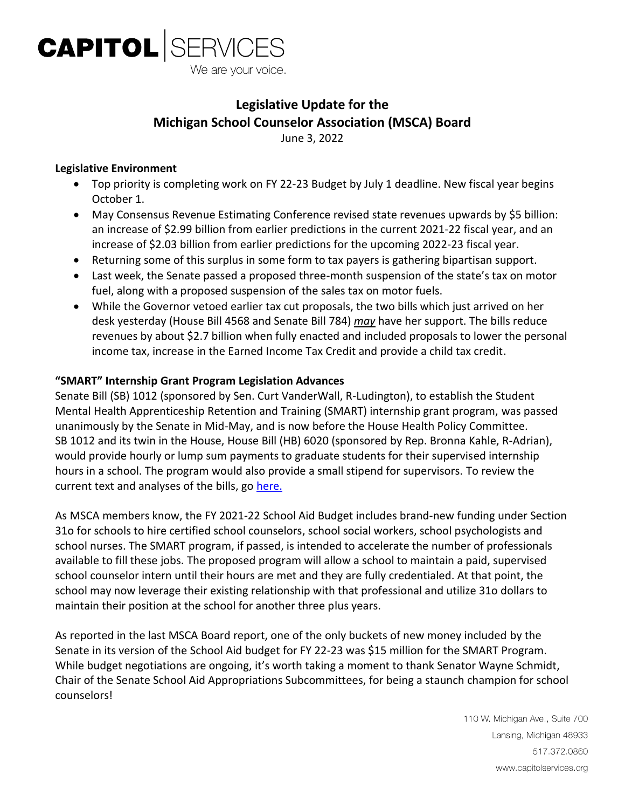

# **Legislative Update for the Michigan School Counselor Association (MSCA) Board**

June 3, 2022

#### **Legislative Environment**

- Top priority is completing work on FY 22-23 Budget by July 1 deadline. New fiscal year begins October 1.
- May Consensus Revenue Estimating Conference revised state revenues upwards by \$5 billion: an increase of \$2.99 billion from earlier predictions in the current 2021-22 fiscal year, and an increase of \$2.03 billion from earlier predictions for the upcoming 2022-23 fiscal year.
- Returning some of this surplus in some form to tax payers is gathering bipartisan support.
- Last week, the Senate passed a proposed three-month suspension of the state's tax on motor fuel, along with a proposed suspension of the sales tax on motor fuels.
- While the Governor vetoed earlier tax cut proposals, the two bills which just arrived on her desk yesterday (House Bill 4568 and Senate Bill 784) *may* have her support. The bills reduce revenues by about \$2.7 billion when fully enacted and included proposals to lower the personal income tax, increase in the Earned Income Tax Credit and provide a child tax credit.

#### **"SMART" Internship Grant Program Legislation Advances**

Senate Bill (SB) 1012 (sponsored by Sen. Curt VanderWall, R-Ludington), to establish the Student Mental Health Apprenticeship Retention and Training (SMART) internship grant program, was passed unanimously by the Senate in Mid-May, and is now before the House Health Policy Committee. SB 1012 and its twin in the House, House Bill (HB) 6020 (sponsored by Rep. Bronna Kahle, R-Adrian), would provide hourly or lump sum payments to graduate students for their supervised internship hours in a school. The program would also provide a small stipend for supervisors. To review the current text and analyses of the bills, go [here.](http://www.legislature.mi.gov/(S(z4iopmvigkbobh0yphqsdbxy))/mileg.aspx?page=getObject&objectName=2022-SB-1012)

As MSCA members know, the FY 2021-22 School Aid Budget includes brand-new funding under Section 31o for schools to hire certified school counselors, school social workers, school psychologists and school nurses. The SMART program, if passed, is intended to accelerate the number of professionals available to fill these jobs. The proposed program will allow a school to maintain a paid, supervised school counselor intern until their hours are met and they are fully credentialed. At that point, the school may now leverage their existing relationship with that professional and utilize 31o dollars to maintain their position at the school for another three plus years.

As reported in the last MSCA Board report, one of the only buckets of new money included by the Senate in its version of the School Aid budget for FY 22-23 was \$15 million for the SMART Program. While budget negotiations are ongoing, it's worth taking a moment to thank Senator Wayne Schmidt, Chair of the Senate School Aid Appropriations Subcommittees, for being a staunch champion for school counselors!

> 110 W. Michigan Ave., Suite 700 Lansing, Michigan 48933 517.372.0860 www.capitolservices.org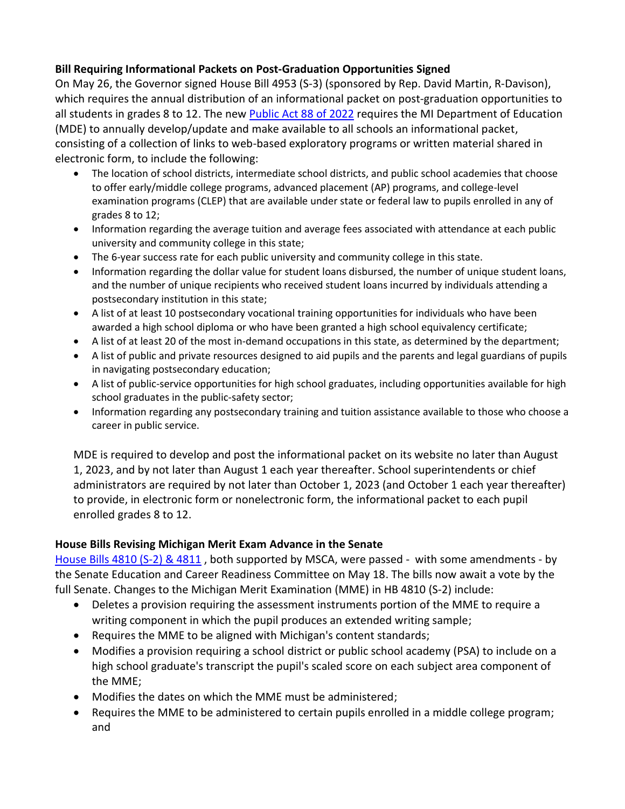## **Bill Requiring Informational Packets on Post-Graduation Opportunities Signed**

On May 26, the Governor signed House Bill 4953 (S-3) (sponsored by Rep. David Martin, R-Davison), which requires the annual distribution of an informational packet on post-graduation opportunities to all students in grades 8 to 12. The new [Public Act 88 of 2022](http://www.legislature.mi.gov/(S(z4iopmvigkbobh0yphqsdbxy))/mileg.aspx?page=getObject&objectName=2021-HB-4953) requires the MI Department of Education (MDE) to annually develop/update and make available to all schools an informational packet, consisting of a collection of links to web-based exploratory programs or written material shared in electronic form, to include the following:

- The location of school districts, intermediate school districts, and public school academies that choose to offer early/middle college programs, advanced placement (AP) programs, and college-level examination programs (CLEP) that are available under state or federal law to pupils enrolled in any of grades 8 to 12;
- Information regarding the average tuition and average fees associated with attendance at each public university and community college in this state;
- The 6-year success rate for each public university and community college in this state.
- Information regarding the dollar value for student loans disbursed, the number of unique student loans, and the number of unique recipients who received student loans incurred by individuals attending a postsecondary institution in this state;
- A list of at least 10 postsecondary vocational training opportunities for individuals who have been awarded a high school diploma or who have been granted a high school equivalency certificate;
- A list of at least 20 of the most in-demand occupations in this state, as determined by the department;
- A list of public and private resources designed to aid pupils and the parents and legal guardians of pupils in navigating postsecondary education;
- A list of public-service opportunities for high school graduates, including opportunities available for high school graduates in the public-safety sector;
- Information regarding any postsecondary training and tuition assistance available to those who choose a career in public service.

MDE is required to develop and post the informational packet on its website no later than August 1, 2023, and by not later than August 1 each year thereafter. School superintendents or chief administrators are required by not later than October 1, 2023 (and October 1 each year thereafter) to provide, in electronic form or nonelectronic form, the informational packet to each pupil enrolled grades 8 to 12.

## **House Bills Revising Michigan Merit Exam Advance in the Senate**

[House Bills](http://www.legislature.mi.gov/(S(z4iopmvigkbobh0yphqsdbxy))/mileg.aspx?page=getObject&objectName=2021-HB-4810) 4810 (S-2) & 4811 , both supported by MSCA, were passed - with some amendments - by the Senate Education and Career Readiness Committee on May 18. The bills now await a vote by the full Senate. Changes to the Michigan Merit Examination (MME) in HB 4810 (S-2) include:

- Deletes a provision requiring the assessment instruments portion of the MME to require a writing component in which the pupil produces an extended writing sample;
- Requires the MME to be aligned with Michigan's content standards;
- Modifies a provision requiring a school district or public school academy (PSA) to include on a high school graduate's transcript the pupil's scaled score on each subject area component of the MME;
- Modifies the dates on which the MME must be administered;
- Requires the MME to be administered to certain pupils enrolled in a middle college program; and